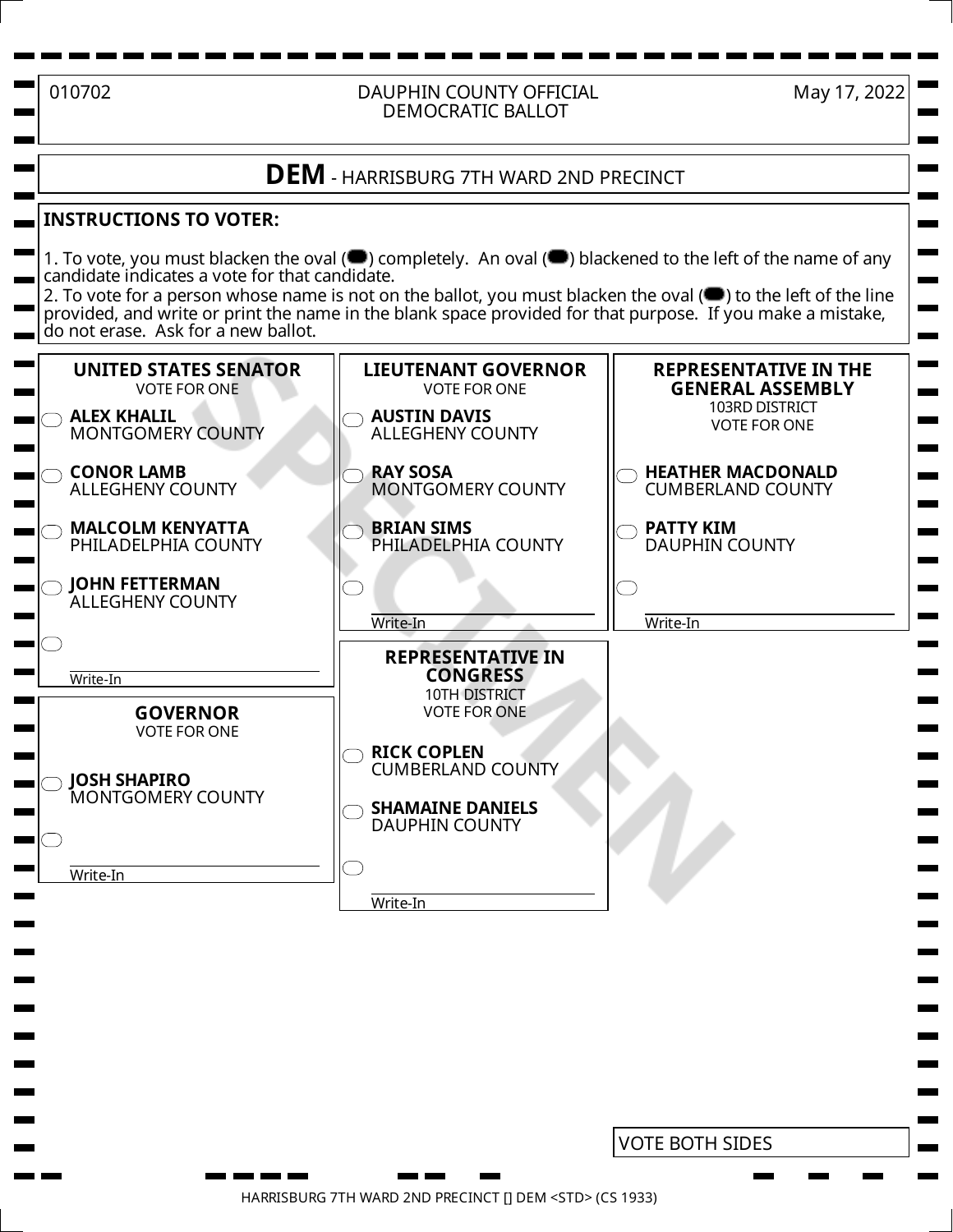## 010702 DAUPHIN COUNTY OFFICIAL DEMOCRATIC BALLOT

May 17, 2022

## **DEM** - HARRISBURG 7TH WARD 2ND PRECINCT

## **INSTRUCTIONS TO VOTER:**

1. To vote, you must blacken the oval ( $\blacksquare$ ) completely. An oval ( $\blacksquare$ ) blackened to the left of the name of any candidate indicates a vote for that candidate.

2. To vote for a person whose name is not on the ballot, you must blacken the oval  $($ **)** to the left of the line provided, and write or print the name in the blank space provided for that purpose. If you make a mistake, do not erase. Ask for a new ballot.